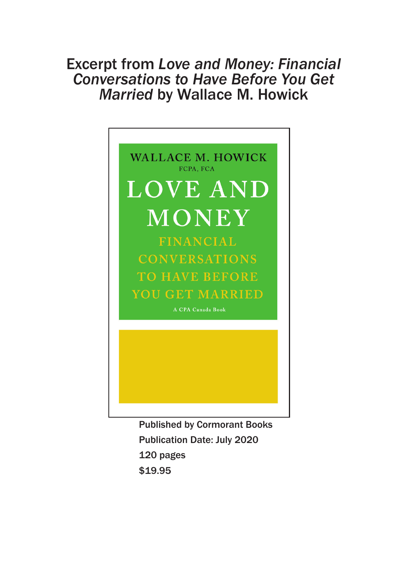## Excerpt from *Love and Money: Financial Conversations to Have Before You Get Married* by Wallace M. Howick



Published by Cormorant Books Publication Date: July 2020 120 pages \$19.95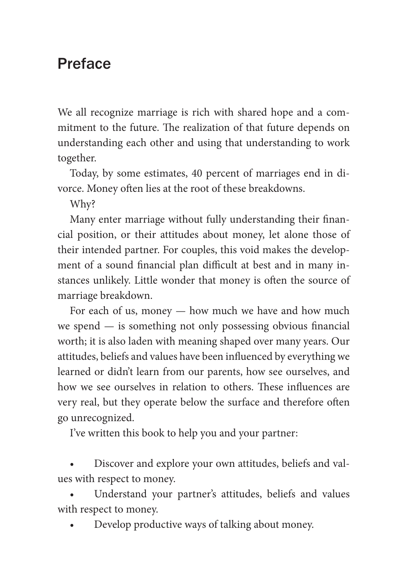## Preface

We all recognize marriage is rich with shared hope and a commitment to the future. The realization of that future depends on understanding each other and using that understanding to work together.

Today, by some estimates, 40 percent of marriages end in divorce. Money often lies at the root of these breakdowns.

Why?

Many enter marriage without fully understanding their financial position, or their attitudes about money, let alone those of their intended partner. For couples, this void makes the development of a sound financial plan difficult at best and in many instances unlikely. Little wonder that money is often the source of marriage breakdown.

For each of us, money — how much we have and how much we spend — is something not only possessing obvious financial worth; it is also laden with meaning shaped over many years. Our attitudes, beliefs and values have been influenced by everything we learned or didn't learn from our parents, how see ourselves, and how we see ourselves in relation to others. These influences are very real, but they operate below the surface and therefore often go unrecognized.

I've written this book to help you and your partner:

• Discover and explore your own attitudes, beliefs and values with respect to money.

Understand your partner's attitudes, beliefs and values with respect to money.

• Develop productive ways of talking about money.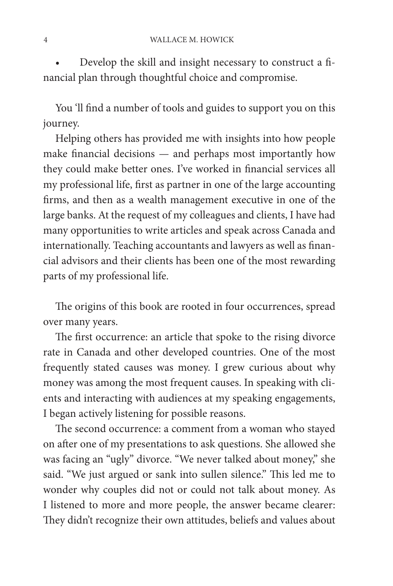• Develop the skill and insight necessary to construct a financial plan through thoughtful choice and compromise.

You 'll find a number of tools and guides to support you on this journey.

Helping others has provided me with insights into how people make financial decisions — and perhaps most importantly how they could make better ones. I've worked in financial services all my professional life, first as partner in one of the large accounting firms, and then as a wealth management executive in one of the large banks. At the request of my colleagues and clients, I have had many opportunities to write articles and speak across Canada and internationally. Teaching accountants and lawyers as well as financial advisors and their clients has been one of the most rewarding parts of my professional life.

The origins of this book are rooted in four occurrences, spread over many years.

The first occurrence: an article that spoke to the rising divorce rate in Canada and other developed countries. One of the most frequently stated causes was money. I grew curious about why money was among the most frequent causes. In speaking with clients and interacting with audiences at my speaking engagements, I began actively listening for possible reasons.

The second occurrence: a comment from a woman who stayed on after one of my presentations to ask questions. She allowed she was facing an "ugly" divorce. "We never talked about money," she said. "We just argued or sank into sullen silence." This led me to wonder why couples did not or could not talk about money. As I listened to more and more people, the answer became clearer: They didn't recognize their own attitudes, beliefs and values about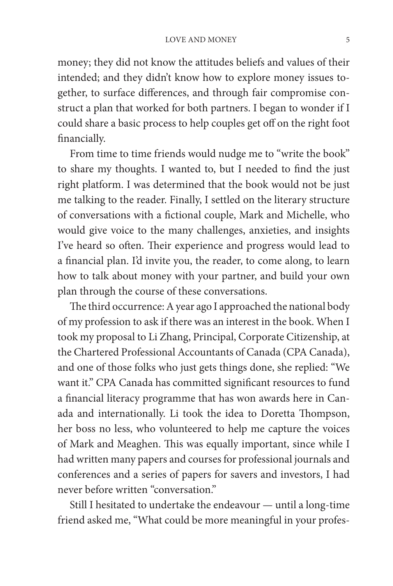money; they did not know the attitudes beliefs and values of their intended; and they didn't know how to explore money issues together, to surface differences, and through fair compromise construct a plan that worked for both partners. I began to wonder if I could share a basic process to help couples get off on the right foot financially.

From time to time friends would nudge me to "write the book" to share my thoughts. I wanted to, but I needed to find the just right platform. I was determined that the book would not be just me talking to the reader. Finally, I settled on the literary structure of conversations with a fictional couple, Mark and Michelle, who would give voice to the many challenges, anxieties, and insights I've heard so often. Their experience and progress would lead to a financial plan. I'd invite you, the reader, to come along, to learn how to talk about money with your partner, and build your own plan through the course of these conversations.

The third occurrence: A year ago I approached the national body of my profession to ask if there was an interest in the book. When I took my proposal to Li Zhang, Principal, Corporate Citizenship, at the Chartered Professional Accountants of Canada (CPA Canada), and one of those folks who just gets things done, she replied: "We want it." CPA Canada has committed significant resources to fund a financial literacy programme that has won awards here in Canada and internationally. Li took the idea to Doretta Thompson, her boss no less, who volunteered to help me capture the voices of Mark and Meaghen. This was equally important, since while I had written many papers and courses for professional journals and conferences and a series of papers for savers and investors, I had never before written "conversation."

Still I hesitated to undertake the endeavour — until a long-time friend asked me, "What could be more meaningful in your profes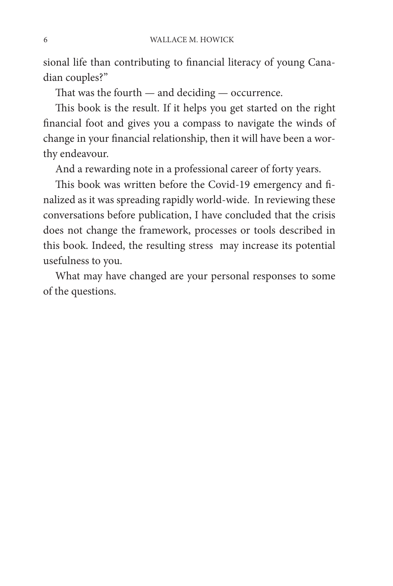sional life than contributing to financial literacy of young Canadian couples?"

That was the fourth — and deciding — occurrence.

This book is the result. If it helps you get started on the right financial foot and gives you a compass to navigate the winds of change in your financial relationship, then it will have been a worthy endeavour.

And a rewarding note in a professional career of forty years.

This book was written before the Covid-19 emergency and finalized as it was spreading rapidly world-wide. In reviewing these conversations before publication, I have concluded that the crisis does not change the framework, processes or tools described in this book. Indeed, the resulting stress may increase its potential usefulness to you.

What may have changed are your personal responses to some of the questions.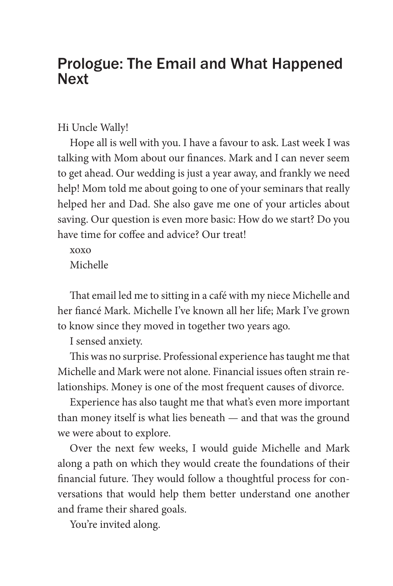## Prologue: The Email and What Happened **Next**

Hi Uncle Wally!

Hope all is well with you. I have a favour to ask. Last week I was talking with Mom about our finances. Mark and I can never seem to get ahead. Our wedding is just a year away, and frankly we need help! Mom told me about going to one of your seminars that really helped her and Dad. She also gave me one of your articles about saving. Our question is even more basic: How do we start? Do you have time for coffee and advice? Our treat!

xoxo Michelle

That email led me to sitting in a café with my niece Michelle and her fiancé Mark. Michelle I've known all her life; Mark I've grown to know since they moved in together two years ago.

I sensed anxiety.

This was no surprise. Professional experience has taught me that Michelle and Mark were not alone. Financial issues often strain relationships. Money is one of the most frequent causes of divorce.

Experience has also taught me that what's even more important than money itself is what lies beneath — and that was the ground we were about to explore.

Over the next few weeks, I would guide Michelle and Mark along a path on which they would create the foundations of their financial future. They would follow a thoughtful process for conversations that would help them better understand one another and frame their shared goals.

You're invited along.